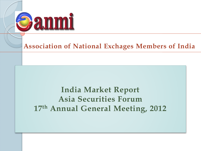

### **Association of National Exchages Members of India**

### **India Market Report Asia Securities Forum 17th Annual General Meeting, 2012**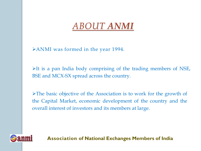# *ABOUT ANMI*

ANMI was formed in the year 1994.

 $\triangleright$ It is a pan India body comprising of the trading members of NSE, BSE and MCX-SX spread across the country.

The basic objective of the Association is to work for the growth of the Capital Market, economic development of the country and the overall interest of investors and its members at large.

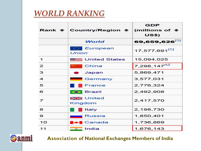### *WORLD RANKING*

|                | <b>Rank <math>\triangleq</math> Country/Region <math>\triangleq</math></b> | GDP<br>(millions of $\triangleq$<br>US\$) |
|----------------|----------------------------------------------------------------------------|-------------------------------------------|
|                | World                                                                      | 69,659,626 <sup>[5]</sup>                 |
|                | <b>European</b><br>Union                                                   | 17,577,691 <sup>[5]</sup>                 |
| 1              | <b>United States</b>                                                       | 15,094,025                                |
| $\mathbf{z}$   | China                                                                      | 7,298,147 <sup>n2</sup>                   |
| з              | Japan                                                                      | 5,869,471                                 |
| $\overline{4}$ | Germany                                                                    | 3,577,031                                 |
| 5              | <b>France</b>                                                              | 2,776,324                                 |
| 6              | <b>Sand Brazil</b>                                                         | 2,492,908                                 |
| 7              | <b>Billed</b> United<br>Kingdom                                            | 2,417,570                                 |
| 8              | Italy                                                                      | 2,198,730                                 |
| 9              | <b>Russia</b>                                                              | 1,850,401                                 |
| 10             | $\blacksquare$ Canada                                                      | 1,736,869                                 |
| 11             | <u>s India</u>                                                             | 1,676,143                                 |

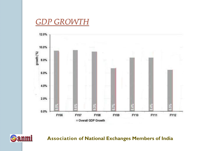### *GDP GROWTH*



**Association of National Exchanges Members of India**

# Sanmi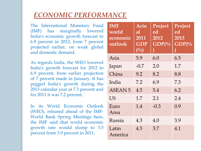### *ECONOMIC PERFORMANCE*

The International Monetary Fund (IMF) has marginally lowered India's economic growth forecast to 6.9 percent in 2012, from 7 percent projected earlier, on weak global and domestic demand.

As regards India, the WEO lowered India's growth forecast for 2012 to 6.9 percent, from earlier projection of 7 percent made in January. It has pegged India's growth during the 2013 calendar year at 7.3 percent and for 2011 it was 7.2 percent.

In its World Economic Outlook (WEO), released ahead of the IMF-World Bank Spring Meetings here, the IMF said that world economic growth rate would slump to 3.5 percent from 3.9 percent in 2011.

| <b>IMF</b><br>world<br>economic<br>outlook | Actu<br>al<br>2011<br><b>GDP</b><br>$\left(\frac{0}{0}\right)$ | Project<br>ed<br>2012<br>$\overline{\textbf{GDP}(\%)}$ | Project<br>ed<br>2013<br>$GDP\frac{0}{0}$ |
|--------------------------------------------|----------------------------------------------------------------|--------------------------------------------------------|-------------------------------------------|
| Asia                                       | 5.9                                                            | 6.0                                                    | 6.5                                       |
| Japan                                      | $-0.7$                                                         | 2.0                                                    | 1.7                                       |
| China                                      | 9.2                                                            | 8.2                                                    | 8.8                                       |
| India                                      | 7.2                                                            | 6.9                                                    | 7.3                                       |
| <b>ASEAN 5</b>                             | 4.5                                                            | 5.4                                                    | 6.2                                       |
| US                                         | 1.7                                                            | 2.1                                                    | 2.4                                       |
| Euro<br>Area                               | 1.4                                                            | $-0.3$                                                 | 0.9                                       |
| Russia                                     | 4.3                                                            | 4.0                                                    | 3.9                                       |
| Latin<br>America                           | 4.5                                                            | 3.7                                                    | 4.1                                       |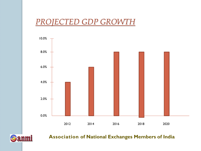### *PROJECTED GDP GROWTH*

Sanmi

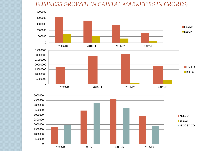#### *BUSINESS GROWTH IN CAPITAL MARKET(RS IN CRORES)*



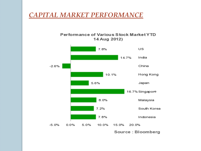### *CAPITAL MARKET PERFORMANCE*

#### Performance of Various Stock Market YTD 14 Aug 2012)



Source: Bloomberg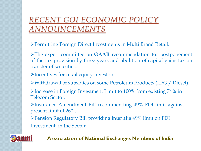## *RECENT GOI ECONOMIC POLICY ANNOUNCEMENTS*

Permitting Foreign Direct Investments in Multi Brand Retail.

The expert committee on **GAAR** recommendation for postponement of the tax provision by three years and abolition of capital gains tax on transfer of securities.

Incentives for retail equity investors.

**anmi** 

Withdrawal of subsidies on some Petroleum Products (LPG / Diesel).

 $\blacktriangleright$  Increase in Foreign Investment Limit to 100% from existing 74% in Telecom Sector.

Insurance Amendment Bill recommending 49% FDI limit against present limit of 26%.

Pension Regulatory Bill providing inter alia 49% limit on FDI Investment in the Sector.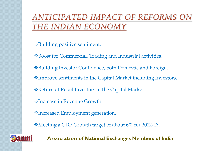*ANTICIPATED IMPACT OF REFORMS C THE INDIAN ECONOMY*

Building positive sentiment.

Boost for Commercial, Trading and Industrial activities.

Building Investor Confidence, both Domestic and Foreign.

Improve sentiments in the Capital Market including Investors.

\* Return of Retail Investors in the Capital Market.

Increase in Revenue Growth.

**Vending Employment generation.** 

Meeting a GDP Growth target of about 6% for 2012-13.

**anmi**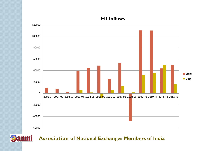-60000 -40000 -20000 0 20000 40000 60000 80000 100000 120000 2000-01 2001-02 2002-03 2003-04 2004-05 2005-06 2006-07 2007-08 2008-09 2009-10 2010-11 2011-12 2012-13 **Equity** Debt

#### **FII Inflows**

### **Association of National Exchanges Members of India**

Sanmi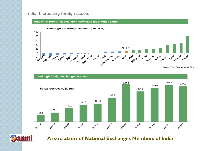#### India: Increasing foreign assets



...and high foreign exchange reserves



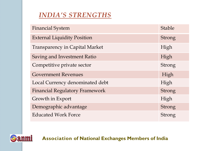### *INDIA'S STRENGTHS*

| <b>Financial System</b>               | <b>Stable</b> |
|---------------------------------------|---------------|
| <b>External Liquidity Position</b>    | Strong        |
| <b>Transparency in Capital Market</b> | High          |
| Saving and Investment Ratio           | High          |
| Competitive private sector            | Strong        |
| <b>Government Revenues</b>            | High          |
| Local Currency denominated debt       | High          |
| <b>Financial Regulatory Framework</b> | Strong        |
| Growth in Export                      | High          |
| Demographic advantage                 | <b>Strong</b> |
| <b>Educated Work Force</b>            | Strong        |

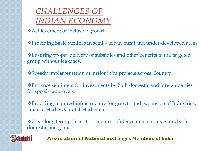## *CHALLENGES OF INDIAN ECONOMY*

Achievement of inclusive growth.

Providing basic facilities in semi – urban, rural and under-developed areas.

Ensuring proper delivery of subsidies and other benefits to the targeted group without leakages.

Speedy implementation of major infra projects across Country.

Enhance sentiment for investments by both domestic and foreign parties for speedy approvals.

Providing required infrastructure for growth and expansion of Industries, Finance Market, Capital Market etc.

Clear long term policies to bring in confidence in major investors both domestic and global.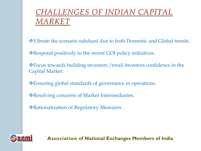## *CHALLENGES OF INDIAN CAPITAL MARKET*

Vibrate the scenario subdued due to both Domestic and Global trends.

Respond positively to the recent GOI policy initiatives.

Focus towards building investors /retail investors confidence in the Capital Market.

Ensuring global standards of governance in operations.

Resolving concerns of Market Intermediaries.

Rationalization of Regulatory Measures .

# **Sanmi**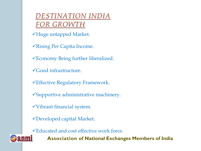*DESTINATION INDIA FOR GROWTH*

Huge untapped Market.

Rising Per Capita Income.

Economy Being further liberalized.

Good infrastructure.

Effective Regulatory Framework.

Supportive administrative machinery.

Vibrant financial system.

Developed capital Market.

**anmi** 

Educated and cost effective work force.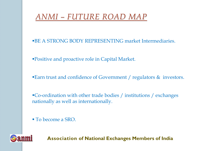# *ANMI – FUTURE ROAD MAP*

- **BE A STRONG BODY REPRESENTING market Intermediaries.**
- Positive and proactive role in Capital Market.
- **Earn trust and confidence of Government / regulators & investors.**

Co-ordination with other trade bodies / institutions / exchanges nationally as well as internationally.

To become a SRO.

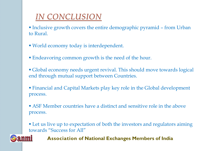# *IN CONCLUSION*

- Inclusive growth covers the entire demographic pyramid from Urban to Rural.
- World economy today is interdependent.
- **Endeavoring common growth is the need of the hour.**
- Global economy needs urgent revival. This should move towards logical end through mutual support between Countries.
- Financial and Capital Markets play key role in the Global development process.
- ASF Member countries have a distinct and sensitive role in the above process.
- Let us live up to expectation of both the investors and regulators aiming towards "Success for All"